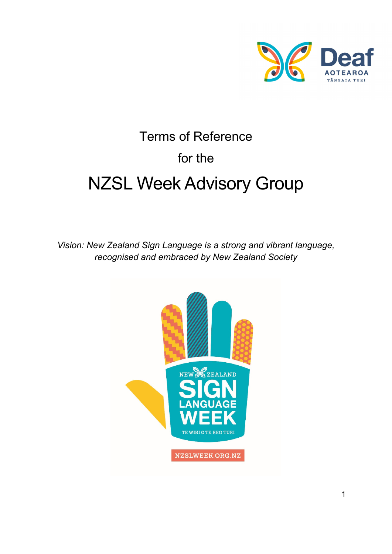

# Terms of Reference for the NZSL Week Advisory Group

*Vision: New Zealand Sign Language is a strong and vibrant language, recognised and embraced by New Zealand Society* 

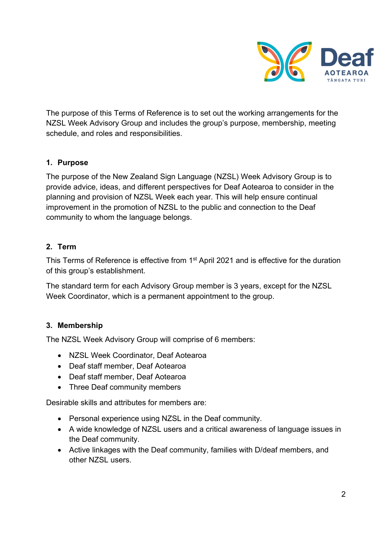

The purpose of this Terms of Reference is to set out the working arrangements for the NZSL Week Advisory Group and includes the group's purpose, membership, meeting schedule, and roles and responsibilities.

## **1. Purpose**

The purpose of the New Zealand Sign Language (NZSL) Week Advisory Group is to provide advice, ideas, and different perspectives for Deaf Aotearoa to consider in the planning and provision of NZSL Week each year. This will help ensure continual improvement in the promotion of NZSL to the public and connection to the Deaf community to whom the language belongs.

#### **2. Term**

This Terms of Reference is effective from 1<sup>st</sup> April 2021 and is effective for the duration of this group's establishment.

The standard term for each Advisory Group member is 3 years, except for the NZSL Week Coordinator, which is a permanent appointment to the group.

## **3. Membership**

The NZSL Week Advisory Group will comprise of 6 members:

- NZSL Week Coordinator, Deaf Aotearoa
- Deaf staff member, Deaf Aotearoa
- Deaf staff member, Deaf Aotearoa
- Three Deaf community members

Desirable skills and attributes for members are:

- Personal experience using NZSL in the Deaf community.
- A wide knowledge of NZSL users and a critical awareness of language issues in the Deaf community.
- Active linkages with the Deaf community, families with D/deaf members, and other NZSL users.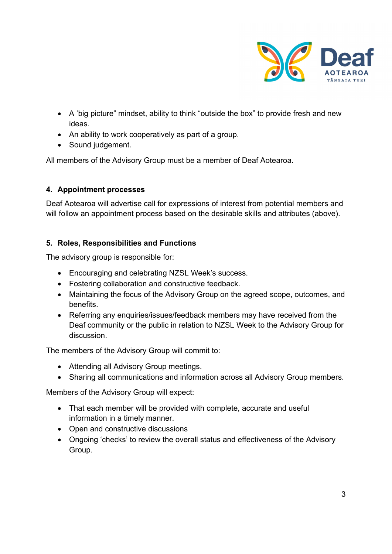

- A 'big picture" mindset, ability to think "outside the box" to provide fresh and new ideas.
- An ability to work cooperatively as part of a group.
- Sound judgement.

All members of the Advisory Group must be a member of Deaf Aotearoa.

## **4. Appointment processes**

Deaf Aotearoa will advertise call for expressions of interest from potential members and will follow an appointment process based on the desirable skills and attributes (above).

# **5. Roles, Responsibilities and Functions**

The advisory group is responsible for:

- Encouraging and celebrating NZSL Week's success.
- Fostering collaboration and constructive feedback.
- Maintaining the focus of the Advisory Group on the agreed scope, outcomes, and benefits.
- Referring any enquiries/issues/feedback members may have received from the Deaf community or the public in relation to NZSL Week to the Advisory Group for discussion.

The members of the Advisory Group will commit to:

- Attending all Advisory Group meetings.
- Sharing all communications and information across all Advisory Group members.

Members of the Advisory Group will expect:

- That each member will be provided with complete, accurate and useful information in a timely manner.
- Open and constructive discussions
- Ongoing 'checks' to review the overall status and effectiveness of the Advisory Group.